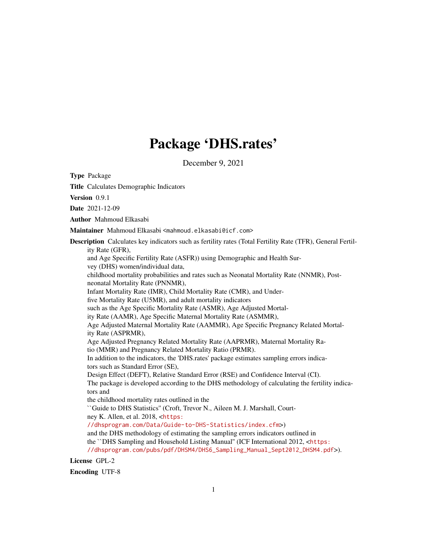# Package 'DHS.rates'

December 9, 2021

Type Package Title Calculates Demographic Indicators Version 0.9.1 Date 2021-12-09 Author Mahmoud Elkasabi Maintainer Mahmoud Elkasabi <mahmoud.elkasabi@icf.com> Description Calculates key indicators such as fertility rates (Total Fertility Rate (TFR), General Fertility Rate (GFR), and Age Specific Fertility Rate (ASFR)) using Demographic and Health Survey (DHS) women/individual data, childhood mortality probabilities and rates such as Neonatal Mortality Rate (NNMR), Postneonatal Mortality Rate (PNNMR), Infant Mortality Rate (IMR), Child Mortality Rate (CMR), and Underfive Mortality Rate (U5MR), and adult mortality indicators such as the Age Specific Mortality Rate (ASMR), Age Adjusted Mortality Rate (AAMR), Age Specific Maternal Mortality Rate (ASMMR), Age Adjusted Maternal Mortality Rate (AAMMR), Age Specific Pregnancy Related Mortality Rate (ASPRMR), Age Adjusted Pregnancy Related Mortality Rate (AAPRMR), Maternal Mortality Ratio (MMR) and Pregnancy Related Mortality Ratio (PRMR). In addition to the indicators, the 'DHS.rates' package estimates sampling errors indicators such as Standard Error (SE), Design Effect (DEFT), Relative Standard Error (RSE) and Confidence Interval (CI). The package is developed according to the DHS methodology of calculating the fertility indicators and the childhood mortality rates outlined in the ``Guide to DHS Statistics'' (Croft, Trevor N., Aileen M. J. Marshall, Courtney K. Allen, et al. 2018, <[https:](https://dhsprogram.com/Data/Guide-to-DHS-Statistics/index.cfm) [//dhsprogram.com/Data/Guide-to-DHS-Statistics/index.cfm](https://dhsprogram.com/Data/Guide-to-DHS-Statistics/index.cfm)>) and the DHS methodology of estimating the sampling errors indicators outlined in the ``DHS Sampling and Household Listing Manual'' (ICF International 2012, <[https:](https://dhsprogram.com/pubs/pdf/DHSM4/DHS6_Sampling_Manual_Sept2012_DHSM4.pdf) [//dhsprogram.com/pubs/pdf/DHSM4/DHS6\\_Sampling\\_Manual\\_Sept2012\\_DHSM4.pdf](https://dhsprogram.com/pubs/pdf/DHSM4/DHS6_Sampling_Manual_Sept2012_DHSM4.pdf)>).

License GPL-2

Encoding UTF-8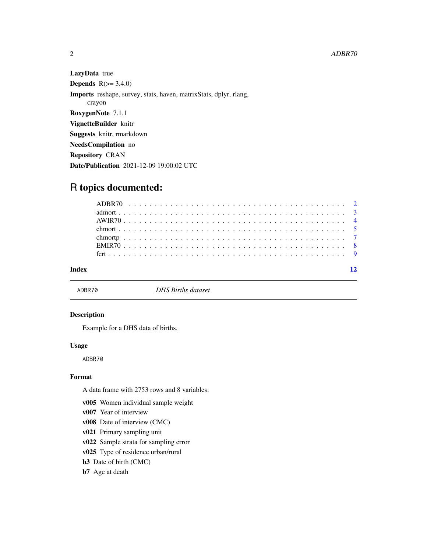LazyData true **Depends**  $R(>= 3.4.0)$ Imports reshape, survey, stats, haven, matrixStats, dplyr, rlang, crayon RoxygenNote 7.1.1 VignetteBuilder knitr Suggests knitr, rmarkdown NeedsCompilation no Repository CRAN Date/Publication 2021-12-09 19:00:02 UTC

# R topics documented:

#### **Index** [12](#page-11-0)

ADBR70 *DHS Births dataset*

#### Description

Example for a DHS data of births.

#### Usage

ADBR70

#### Format

A data frame with 2753 rows and 8 variables:

- v005 Women individual sample weight
- v007 Year of interview
- v008 Date of interview (CMC)
- v021 Primary sampling unit

v022 Sample strata for sampling error

- v025 Type of residence urban/rural
- b3 Date of birth (CMC)

#### b7 Age at death

<span id="page-1-0"></span>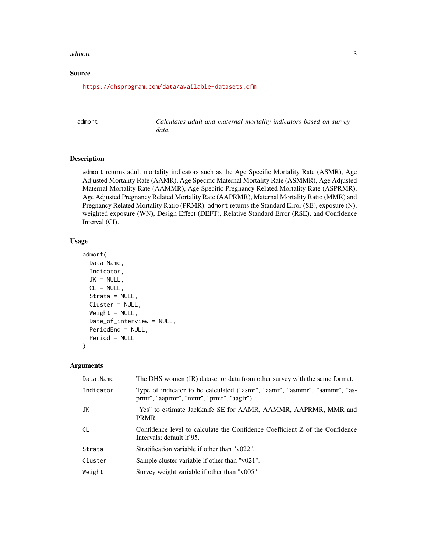#### <span id="page-2-0"></span>admort 3

#### Source

<https://dhsprogram.com/data/available-datasets.cfm>

|--|

Calculates adult and maternal mortality indicators based on survey *data.*

#### Description

admort returns adult mortality indicators such as the Age Specific Mortality Rate (ASMR), Age Adjusted Mortality Rate (AAMR), Age Specific Maternal Mortality Rate (ASMMR), Age Adjusted Maternal Mortality Rate (AAMMR), Age Specific Pregnancy Related Mortality Rate (ASPRMR), Age Adjusted Pregnancy Related Mortality Rate (AAPRMR), Maternal Mortality Ratio (MMR) and Pregnancy Related Mortality Ratio (PRMR). admort returns the Standard Error (SE), exposure (N), weighted exposure (WN), Design Effect (DEFT), Relative Standard Error (RSE), and Confidence Interval (CI).

#### Usage

```
admort(
 Data.Name,
  Indicator,
  JK = NULL,CL = NULL,Strata = NULL,
 Cluster = NULL,
 Weight = NULL,
 Date_of_interview = NULL,
 PeriodEnd = NULL,
 Period = NULL
)
```
#### Arguments

| Data.Name     | The DHS women (IR) dataset or data from other survey with the same format.                                              |
|---------------|-------------------------------------------------------------------------------------------------------------------------|
| Indicator     | Type of indicator to be calculated ("asmr", "aamr", "asmmr", "aammr", "as-<br>prmr", "aaprmr", "mmr", "prmr", "aagfr"). |
| JK            | "Yes" to estimate Jackknife SE for AAMR, AAMMR, AAPRMR, MMR and<br>PRMR.                                                |
| <sub>CL</sub> | Confidence level to calculate the Confidence Coefficient Z of the Confidence<br>Intervals; default if 95.               |
| Strata        | Stratification variable if other than "v022".                                                                           |
| Cluster       | Sample cluster variable if other than "v021".                                                                           |
| Weight        | Survey weight variable if other than "v005".                                                                            |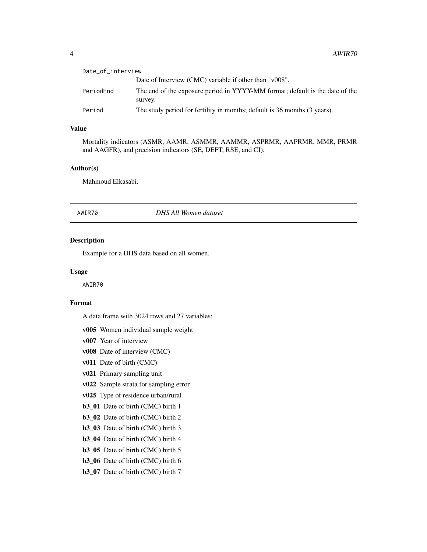<span id="page-3-0"></span>

| Date_of_interview |                                                                                         |
|-------------------|-----------------------------------------------------------------------------------------|
|                   | Date of Interview (CMC) variable if other than "v008".                                  |
| PeriodEnd         | The end of the exposure period in YYYY-MM format; default is the date of the<br>survey. |
| Period            | The study period for fertility in months; default is 36 months (3 years).               |

#### Value

Mortality indicators (ASMR, AAMR, ASMMR, AAMMR, ASPRMR, AAPRMR, MMR, PRMR and AAGFR), and precision indicators (SE, DEFT, RSE, and CI).

#### Author(s)

Mahmoud Elkasabi.

#### AWIR70 *DHS All Women dataset*

#### Description

Example for a DHS data based on all women.

#### Usage

AWIR70

#### Format

A data frame with 3024 rows and 27 variables:

v005 Women individual sample weight

- v007 Year of interview
- v008 Date of interview (CMC)
- v011 Date of birth (CMC)
- v021 Primary sampling unit
- v022 Sample strata for sampling error

v025 Type of residence urban/rural

b3\_01 Date of birth (CMC) birth 1

- b3\_02 Date of birth (CMC) birth 2
- b3\_03 Date of birth (CMC) birth 3
- b3\_04 Date of birth (CMC) birth 4
- b3\_05 Date of birth (CMC) birth 5
- b3\_06 Date of birth (CMC) birth 6
- b3\_07 Date of birth (CMC) birth 7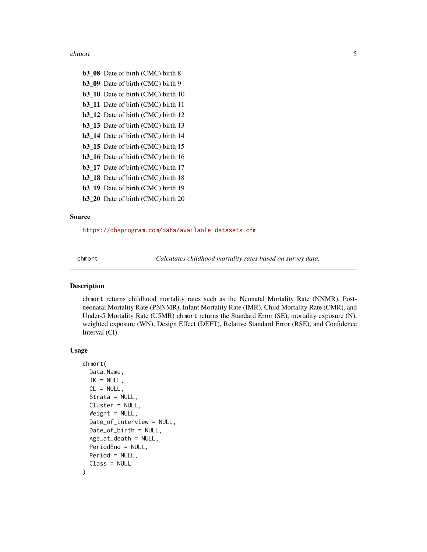#### <span id="page-4-0"></span>chmort 5

b3\_08 Date of birth (CMC) birth 8 b3\_09 Date of birth (CMC) birth 9 b3\_10 Date of birth (CMC) birth 10 b3\_11 Date of birth (CMC) birth 11 b3\_12 Date of birth (CMC) birth 12 b3\_13 Date of birth (CMC) birth 13 b3\_14 Date of birth (CMC) birth 14 b3\_15 Date of birth (CMC) birth 15 b3\_16 Date of birth (CMC) birth 16 b3\_17 Date of birth (CMC) birth 17 b3\_18 Date of birth (CMC) birth 18 b3\_19 Date of birth (CMC) birth 19 b3\_20 Date of birth (CMC) birth 20

## Source

<https://dhsprogram.com/data/available-datasets.cfm>

chmort *Calculates childhood mortality rates based on survey data.*

#### Description

chmort returns childhood mortality rates such as the Neonatal Mortality Rate (NNMR), Postneonatal Mortality Rate (PNNMR), Infant Mortality Rate (IMR), Child Mortality Rate (CMR), and Under-5 Mortality Rate (U5MR) chmort returns the Standard Error (SE), mortality exposure (N), weighted exposure (WN), Design Effect (DEFT), Relative Standard Error (RSE), and Confidence Interval (CI).

#### Usage

```
chmort(
 Data.Name,
  JK = NULL,CL = NULL,Strata = NULL,
  Cluster = NULL,
  Weight = NULL,Date_of_interview = NULL,
  Date_of_birth = NULL,
  Age_at_death = NULL,
 PeriodEnd = NULL,
 Period = NULL,
  Class = NULL
)
```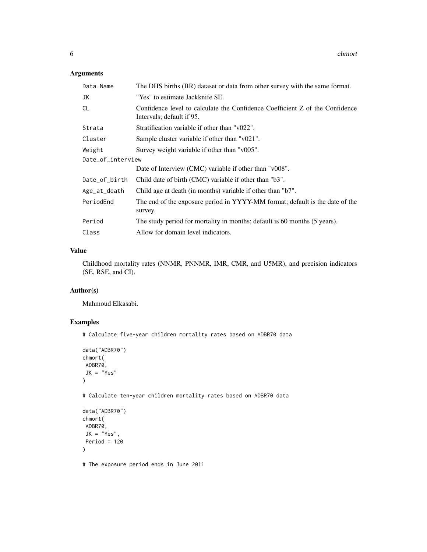#### Arguments

| Data.Name         | The DHS births (BR) dataset or data from other survey with the same format.                               |
|-------------------|-----------------------------------------------------------------------------------------------------------|
| JK                | "Yes" to estimate Jackknife SE.                                                                           |
| <b>CL</b>         | Confidence level to calculate the Confidence Coefficient Z of the Confidence<br>Intervals; default if 95. |
| Strata            | Stratification variable if other than "v022".                                                             |
| Cluster           | Sample cluster variable if other than "v021".                                                             |
| Weight            | Survey weight variable if other than "v005".                                                              |
| Date_of_interview |                                                                                                           |
|                   | Date of Interview (CMC) variable if other than "v008".                                                    |
| Date_of_birth     | Child date of birth (CMC) variable if other than "b3".                                                    |
| Age_at_death      | Child age at death (in months) variable if other than "b7".                                               |
| PeriodEnd         | The end of the exposure period in YYYY-MM format; default is the date of the<br>survey.                   |
| Period            | The study period for mortality in months; default is 60 months (5 years).                                 |
| Class             | Allow for domain level indicators.                                                                        |

#### Value

Childhood mortality rates (NNMR, PNNMR, IMR, CMR, and U5MR), and precision indicators (SE, RSE, and CI).

#### Author(s)

Mahmoud Elkasabi.

#### Examples

# Calculate five-year children mortality rates based on ADBR70 data

```
data("ADBR70")
chmort(
ADBR70,
 JK = "Yes"\lambda
```
# Calculate ten-year children mortality rates based on ADBR70 data

```
data("ADBR70")
chmort(
ADBR70,
 JK = "Yes",Period = 120
\mathcal{L}
```
# The exposure period ends in June 2011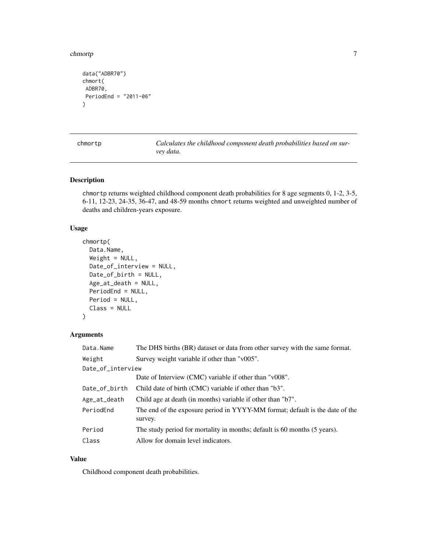#### <span id="page-6-0"></span>chmortp **7**

```
data("ADBR70")
chmort(
ADBR70,
PeriodEnd = "2011-06"
)
```
chmortp *Calculates the childhood component death probabilities based on survey data.*

#### Description

chmortp returns weighted childhood component death probabilities for 8 age segments 0, 1-2, 3-5, 6-11, 12-23, 24-35, 36-47, and 48-59 months chmort returns weighted and unweighted number of deaths and children-years exposure.

#### Usage

```
chmortp(
  Data.Name,
 Weight = NULL,Date_of_interview = NULL,
 Date_of_birth = NULL,
  Age_at_death = NULL,
 PeriodEnd = NULL,
 Period = NULL,
  Class = NULL
)
```
#### Arguments

| Data.Name         | The DHS births (BR) dataset or data from other survey with the same format.             |
|-------------------|-----------------------------------------------------------------------------------------|
| Weight            | Survey weight variable if other than "v005".                                            |
| Date_of_interview |                                                                                         |
|                   | Date of Interview (CMC) variable if other than "v008".                                  |
| Date_of_birth     | Child date of birth (CMC) variable if other than "b3".                                  |
| Age_at_death      | Child age at death (in months) variable if other than "b7".                             |
| PeriodEnd         | The end of the exposure period in YYYY-MM format; default is the date of the<br>survey. |
| Period            | The study period for mortality in months; default is 60 months (5 years).               |
| Class             | Allow for domain level indicators.                                                      |

#### Value

Childhood component death probabilities.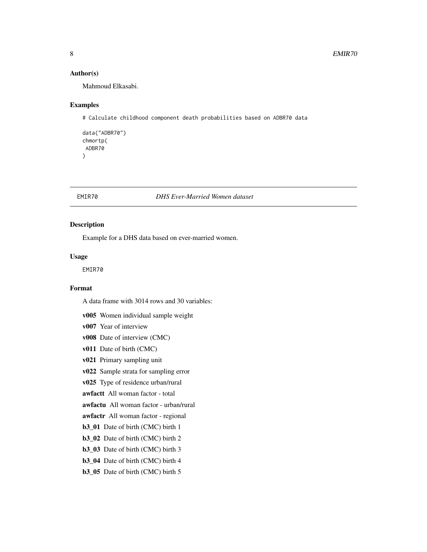#### <span id="page-7-0"></span>Author(s)

Mahmoud Elkasabi.

#### Examples

# Calculate childhood component death probabilities based on ADBR70 data

```
data("ADBR70")
chmortp(
ADBR70
\lambda
```
#### EMIR70 *DHS Ever-Married Women dataset*

#### Description

Example for a DHS data based on ever-married women.

#### Usage

EMIR70

#### Format

A data frame with 3014 rows and 30 variables:

- v005 Women individual sample weight
- v007 Year of interview
- v008 Date of interview (CMC)
- v011 Date of birth (CMC)
- v021 Primary sampling unit
- v022 Sample strata for sampling error
- v025 Type of residence urban/rural
- awfactt All woman factor total
- awfactu All woman factor urban/rural
- awfactr All woman factor regional
- b3\_01 Date of birth (CMC) birth 1
- b3\_02 Date of birth (CMC) birth 2
- b3\_03 Date of birth (CMC) birth 3
- b3\_04 Date of birth (CMC) birth 4
- b3\_05 Date of birth (CMC) birth 5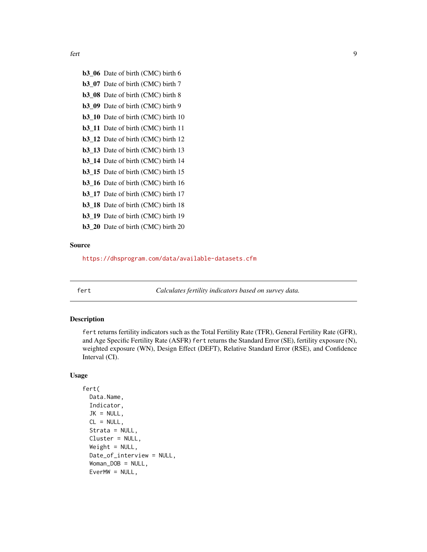<span id="page-8-0"></span>fert 99

- b3\_06 Date of birth (CMC) birth 6 b3\_07 Date of birth (CMC) birth 7 b3\_08 Date of birth (CMC) birth 8 b3\_09 Date of birth (CMC) birth 9
- b3\_10 Date of birth (CMC) birth 10
- b3\_11 Date of birth (CMC) birth 11
- b3\_12 Date of birth (CMC) birth 12 b3\_13 Date of birth (CMC) birth 13
- b3\_14 Date of birth (CMC) birth 14
- b3\_15 Date of birth (CMC) birth 15
- b3\_16 Date of birth (CMC) birth 16
- b3\_17 Date of birth (CMC) birth 17
- b3\_18 Date of birth (CMC) birth 18
- b3\_19 Date of birth (CMC) birth 19
- b3\_20 Date of birth (CMC) birth 20

#### Source

<https://dhsprogram.com/data/available-datasets.cfm>

fert *Calculates fertility indicators based on survey data.*

#### **Description**

fert returns fertility indicators such as the Total Fertility Rate (TFR), General Fertility Rate (GFR), and Age Specific Fertility Rate (ASFR) fert returns the Standard Error (SE), fertility exposure (N), weighted exposure (WN), Design Effect (DEFT), Relative Standard Error (RSE), and Confidence Interval (CI).

#### Usage

```
fert(
  Data.Name,
  Indicator,
  JK = NULL,CL = NULL,Strata = NULL,
  Cluster = NULL,
  Weight = NULL,Date_of_interview = NULL,
  Woman_DOB = NULL,
 EverMW = NULL,
```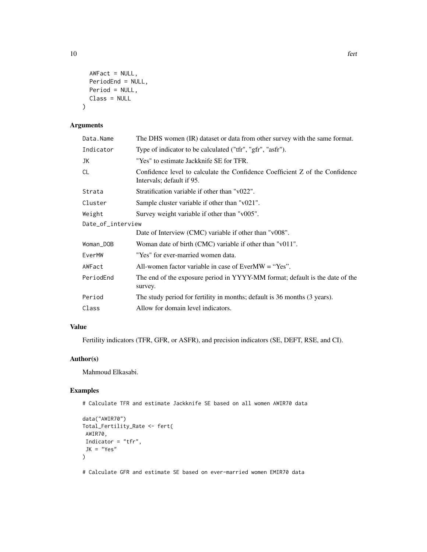```
AWFact = NULL,PeriodEnd = NULL,
Period = NULL,
Class = NULL
```
#### Arguments

)

| Data.Name         | The DHS women (IR) dataset or data from other survey with the same format.                                |
|-------------------|-----------------------------------------------------------------------------------------------------------|
| Indicator         | Type of indicator to be calculated ("tfr", "gfr", "asfr").                                                |
| JK                | "Yes" to estimate Jackknife SE for TFR.                                                                   |
| CL                | Confidence level to calculate the Confidence Coefficient Z of the Confidence<br>Intervals; default if 95. |
| Strata            | Stratification variable if other than "v022".                                                             |
| Cluster           | Sample cluster variable if other than "v021".                                                             |
| Weight            | Survey weight variable if other than "v005".                                                              |
| Date_of_interview |                                                                                                           |
|                   | Date of Interview (CMC) variable if other than "v008".                                                    |
| Woman_DOB         | Woman date of birth (CMC) variable if other than "v011".                                                  |
| EverMW            | "Yes" for ever-married women data.                                                                        |
| AWFact            | All-women factor variable in case of EverMW $=$ "Yes".                                                    |
| PeriodEnd         | The end of the exposure period in YYYY-MM format; default is the date of the<br>survey.                   |
| Period            | The study period for fertility in months; default is 36 months (3 years).                                 |
| Class             | Allow for domain level indicators.                                                                        |
|                   |                                                                                                           |

### Value

Fertility indicators (TFR, GFR, or ASFR), and precision indicators (SE, DEFT, RSE, and CI).

#### Author(s)

Mahmoud Elkasabi.

#### Examples

# Calculate TFR and estimate Jackknife SE based on all women AWIR70 data

```
data("AWIR70")
Total_Fertility_Rate <- fert(
AWIR70,
Indicator = "tfr",
JK = "Yes")
```
# Calculate GFR and estimate SE based on ever-married women EMIR70 data

10 fert and the set of the set of the set of the set of the set of the set of the set of the set of the set of the set of the set of the set of the set of the set of the set of the set of the set of the set of the set of t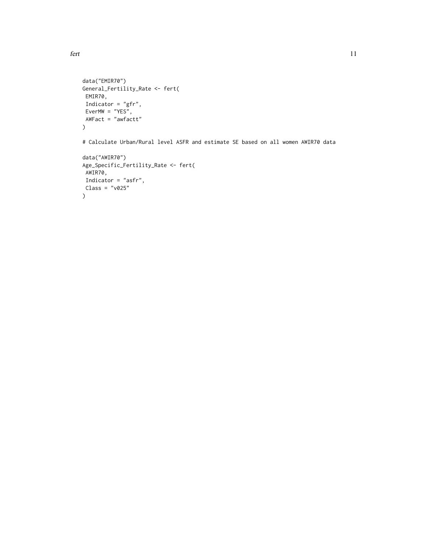```
fert and the state of the state of the state of the state of the state of the state of the state of the state of the state of the state of the state of the state of the state of the state of the state of the state of the s
```

```
data("EMIR70")
General_Fertility_Rate <- fert(
EMIR70,
Indicator = "gfr",
EverMW = "YES",
AWFact = "awfactt"
)
```
# Calculate Urban/Rural level ASFR and estimate SE based on all women AWIR70 data

```
data("AWIR70")
Age_Specific_Fertility_Rate <- fert(
AWIR70,
Indicator = "asfr",
Class = "v025"
\mathcal{L}
```